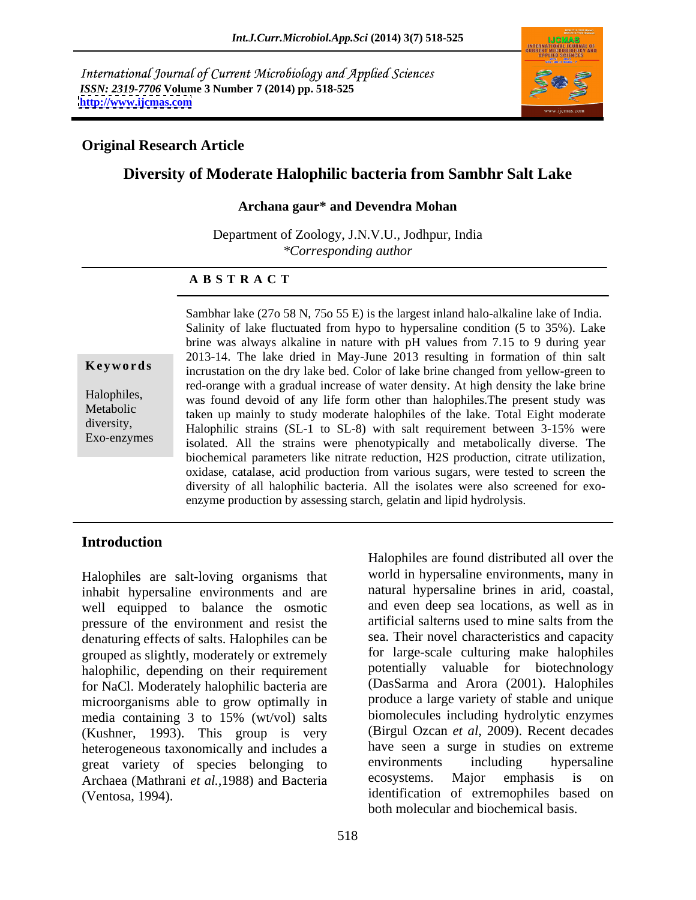International Journal of Current Microbiology and Applied Sciences *ISSN: 2319-7706* **Volume 3 Number 7 (2014) pp. 518-525 <http://www.ijcmas.com>**



## **Original Research Article**

# **Diversity of Moderate Halophilic bacteria from Sambhr Salt Lake**

#### **Archana gaur\* and Devendra Mohan**

Department of Zoology, J.N.V.U., Jodhpur, India *\*Corresponding author*

#### **A B S T R A C T**

**Keywords**incrustation on the dry lake bed. Color of lake brine changed from yellow-green to Halophiles,<br>
was found devoid of any life form other than halophiles. The present study was Metabolic taken up mainly to study moderate halophiles of the lake. Total Eight moderate diversity,<br>
Halophilic strains (SL-1 to SL-8) with salt requirement between 3-15% were Exo-enzymes isolated. All the strains were phenotypically and metabolically diverse. The Sambhar lake (27o 58 N, 75o 55 E) is the largest inland halo-alkaline lake of India. Salinity of lake fluctuated from hypo to hypersaline condition (5 to 35%). Lake brine was always alkaline in nature with pH values from 7.15 to 9 during year 2013-14. The lake dried in May-June 2013 resulting in formation of thin salt red-orange with a gradual increase of water density. At high density the lake brine biochemical parameters like nitrate reduction, H2S production, citrate utilization, oxidase, catalase, acid production from various sugars, were tested to screen the diversity of all halophilic bacteria. All the isolates were also screened for exo enzyme production by assessing starch, gelatin and lipid hydrolysis.

### **Introduction**

Halophiles are salt-loving organisms that inhabit hypersaline environments and are well equipped to balance the osmotic pressure of the environment and resist the denaturing effects of salts. Halophiles can be grouped as slightly, moderately or extremely halophilic, depending on their requirement for NaCl. Moderately halophilic bacteria are microorganisms able to grow optimally in media containing 3 to 15% (wt/vol) salts (Kushner, 1993). This group is very heterogeneous taxonomically and includes a<br>
organization is environments including to hypersaline great variety of species belonging to environments including hypers<br>Archaea (Mathrani et al. 1988) and Bacteria ecosystems. Major emphasis is Archaea (Mathrani *et al.,*1988) and Bacteria

(Ventosa, 1994). identification of extremophiles based on Halophiles are found distributed all over the world in hypersaline environments, many in natural hypersaline brines in arid, coastal, and even deep sea locations, as well as in artificial salterns used to mine salts from the sea. Their novel characteristics and capacity for large-scale culturing make halophiles potentially valuable for biotechnology (DasSarma and Arora (2001). Halophiles produce a large variety of stable and unique biomolecules including hydrolytic enzymes (Birgul Ozcan *et al*, 2009). Recent decades have seen a surge in studies on extreme environments including hypersaline ecosystems. Major emphasis is on both molecular and biochemical basis.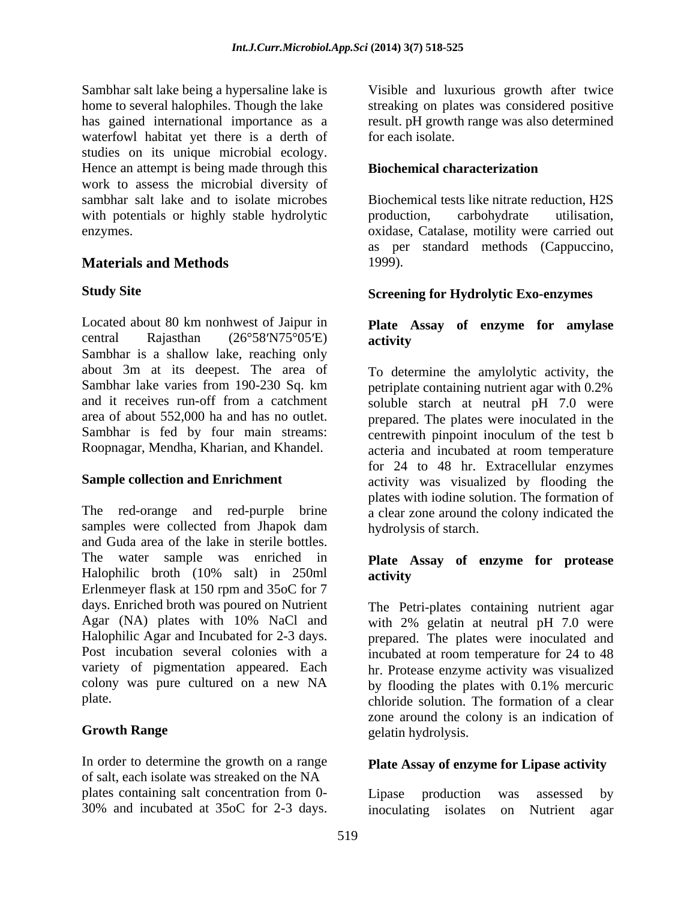Sambhar salt lake being a hypersaline lake is Tisible and luxurious growth after twice home to several halophiles. Though the lake streaking on plates was considered positive has gained international importance as a result. pH growth range was also determined waterfowl habitat yet there is a derth of studies on its unique microbial ecology. Hence an attempt is being made through this **Biochemical characterization** work to assess the microbial diversity of sambhar salt lake and to isolate microbes Biochemical tests like nitrate reduction, H2S with potentials or highly stable hydrolytic production, carbohydrate utilisation, enzymes. oxidase, Catalase, motility were carried out

### **Materials and Methods**

Located about 80 km nonhwest of Jaipur in **Plate Assay of enzyme for amylase** central Rajasthan  $(26^{\circ}58'N75^{\circ}05'E)$  activity Sambhar is a shallow lake, reaching only about 3m at its deepest. The area of To determine the amylolytic activity, the

The red-orange and red-purple brine a clear zone around the colony indicated the samples were collected from Jhapok dam and Guda area of the lake in sterile bottles. The water sample was enriched in Halophilic broth (10% salt) in 250ml Erlenmeyer flask at 150 rpm and 35oC for 7 days. Enriched broth was poured on Nutrient Agar (NA) plates with 10% NaCl and with 2% gelatin at neutral pH 7.0 were Halophilic Agar and Incubated for 2-3 days. prepared. The plates were inoculated and Post incubation several colonies with a incubated at room temperature for 24 to 48 variety of pigmentation appeared. Each hr. Protease enzyme activity was visualized colony was pure cultured on a new NA by flooding the plates with 0.1% mercuric Samulti are likelion and increase the state of the state and luxurious growth after twice and the state at  $\epsilon$  centuring proposes at  $\epsilon$  of the state and increase the state increase the state incubated contains and incub

In order to determine the growth on a range of salt, each isolate was streaked on the NA plates containing salt concentration from 0-<br>Lipase production was assessed by

for each isolate.

### **Biochemical characterization**

production, carbohydrate utilisation, as per standard methods (Cappuccino, 1999).

### **Study Site Screening for Hydrolytic Exo-enzymes**

# **activity**

Sambhar lake varies from 190-230 Sq. km petriplate containing nutrient agar with 0.2% and it receives run-off from a catchment soluble starch at neutral pH 7.0 were area of about 552,000 ha and has no outlet. prepared. The plates were inoculated in the Sambhar is fed by four main streams: centrewith pinpoint inoculum of the test b Roopnagar, Mendha, Kharian, and Khandel. acteria and incubated at room temperature **Sample collection and Enrichment** activity was visualized by flooding the for 24 to 48 hr. Extracellular enzymes plates with iodine solution. The formation of hydrolysis of starch.

### **Plate Assay of enzyme for protease activity**

plate. chloride solution. The formation of a clear **Growth Range** elatin hydrolysis. The Petri-plates containing nutrient agar zone around the colony is an indication of gelatin hydrolysis.

### **Plate Assay of enzyme for Lipase activity**

Lipase production was assessed by inoculating isolates on Nutrient agar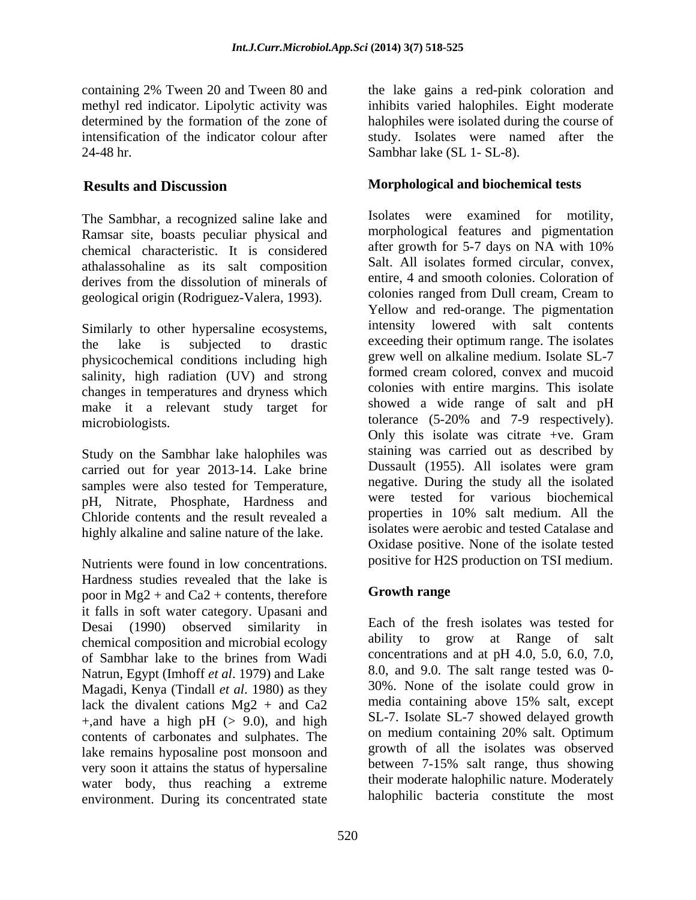The Sambhar, a recognized saline lake and Ramsar site, boasts peculiar physical and<br>change is considered after growth for 5-7 days on NA with 10% chemical characteristic. It is considered athalassohaline as its salt composition derives from the dissolution of minerals of geological origin (Rodriguez-Valera, 1993).

Similarly to other hypersaline ecosystems, physicochemical conditions including high salinity, high radiation (UV) and strong changes in temperatures and dryness which make it a relevant study target for

Study on the Sambhar lake halophiles was carried out for year 2013-14. Lake brine samples were also tested for Temperature, pH, Nitrate, Phosphate, Hardness and Chloride contents and the result revealed a highly alkaline and saline nature of the lake.

Nutrients were found in low concentrations. Hardness studies revealed that the lake is<br>poor in Mg2 + and Ca2 + contents therefore **Growth range** poor in  $Mg2$  + and Ca<sub>2</sub> + contents, therefore it falls in soft water category. Upasani and Desai (1990) observed similarity in chemical composition and microbial ecology Natrun, Egypt (Imhoff *et al*. 1979) and Lake Magadi, Kenya (Tindall *et al.* 1980) as they  $\frac{30\%}{20}$ . None of the isolate could grow in lack the divalent cations  $\text{Mg2} + \text{and } \text{Cg2}$  media containing above 15% salt, except lack the divalent cations  $Mg2 + and Ca2$ +,and have a high pH  $(> 9.0)$ , and high contents of carbonates and sulphates. The lake remains hyposaline post monsoon and<br>were remains that the solates was observed<br>between 7-15% salt range, thus showing very soon it attains the status of hypersaline water body, thus reaching a extreme environment. During its concentrated state

containing 2% Tween 20 and Tween 80 and the lake gains a red-pink coloration and methyl red indicator. Lipolytic activity was inhibits varied halophiles. Eight moderate determined by the formation of the zone of halophiles were isolated during the course of intensification of the indicator colour after study. Isolates were named after the 24-48 hr. Sambhar lake (SL 1- SL-8).

# **Results and Discussion Morphological and biochemical tests**

the lake is subjected to drastic exceeding their optimum range. The isolates microbiologists. tolerance (5-20% and 7-9 respectively). Isolates were examined for motility, morphological features and pigmentation after growth for 5-7 days on NA with 10% Salt. All isolates formed circular, convex, entire, 4 and smooth colonies. Coloration of colonies ranged from Dull cream, Cream to Yellow and red-orange. The pigmentation intensity lowered with salt contents grew well on alkaline medium. Isolate SL-7 formed cream colored, convex and mucoid colonies with entire margins. This isolate showed a wide range of salt and pH Only this isolate was citrate +ve. Gram staining was carried out as described by Dussault (1955). All isolates were gram negative. During the study all the isolated were tested for various biochemical properties in 10% salt medium. All the isolates were aerobic and tested Catalase and Oxidase positive. None of the isolate tested positive for H2S production on TSI medium.

### **Growth range**

of Sambhar lake to the brines from Wadi concentrations and at pH 4.0, 5.0, 6.0, 7.0, Each of the fresh isolates was tested for ability to grow at Range of salt concentrations and at pH 4.0, 5.0, 6.0, 7.0, 8.0, and 9.0. The salt range tested was 0-30%. None of the isolate could grow in media containing above 15% salt, except SL-7. Isolate SL-7 showed delayed growth on medium containing 20% salt. Optimum growth of all the isolates was observed between 7-15% salt range, thus showing their moderate halophilic nature. Moderately halophilic bacteria constitute the most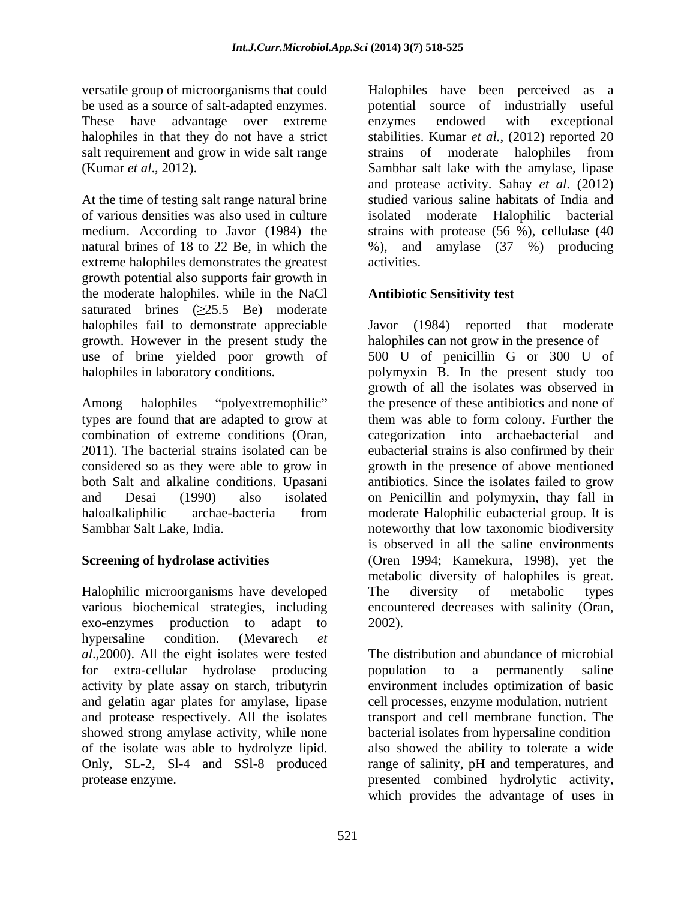These have advantage over extreme enzymes endowed with exceptional

At the time of testing salt range natural brine extreme halophiles demonstrates the greatest activities. growth potential also supports fair growth in the moderate halophiles. while in the NaCl saturated brines  $(\geq 25.5 \text{ Be})$  moderate growth. However in the present study the

Halophilic microorganisms have developed The diversity of metabolic types various biochemical strategies, including encountered decreases with salinity (Oran, exo-enzymes production to adapt to 2002). hypersaline condition. (Mevarech *et al*.,2000). All the eight isolates were tested for extra-cellular hydrolase producing and gelatin agar plates for amylase, lipase and protease respectively. All the isolates showed strong amylase activity, while none Only, SL-2, Sl-4 and SSl-8 produced

versatile group of microorganisms that could Halophiles have been perceived as a be used as a source of salt-adapted enzymes. potential source of industrially useful halophiles in that they do not have a strict stabilities. Kumar *et al.*, (2012) reported 20 salt requirement and grow in wide salt range strains of moderate halophiles from (Kumar *et al*., 2012). Sambhar salt lake with the amylase, lipase of various densities was also used in culture isolated moderate Halophilic bacterial medium. According to Javor (1984) the strains with protease (56 %), cellulase (40 natural brines of 18 to 22 Be, in which the %), and amylase (37 %) producing enzymes endowed with exceptional and protease activity. Sahay *et al*. (2012) studied various saline habitats of India and activities.

# **Antibiotic Sensitivity test**

halophiles fail to demonstrate appreciable Javor (1984) reported that moderate use of brine yielded poor growth of 500 U of penicillin G or 300 U of halophiles in laboratory conditions. polymyxin B. In the present study too Among halophiles "polyextremophilic" the presence of these antibiotics and none of types are found that are adapted to grow at them was able to form colony. Further the combination of extreme conditions (Oran, categorization into archaebacterial and 2011). The bacterial strains isolated can be eubacterial strains is also confirmed by their considered so as they were able to grow in growth in the presence of above mentioned both Salt and alkaline conditions. Upasani antibiotics. Since the isolates failed to grow and Desai (1990) also isolated on Penicillin and polymyxin, thay fall in haloalkaliphilic archae-bacteria from moderate Halophilic eubacterial group. It is Sambhar Salt Lake, India. noteworthy that low taxonomic biodiversity **Screening of hydrolase activities** (Oren 1994; Kamekura, 1998), yet the halophiles can not grow in the presence of growth of all the isolates was observed in moderate Halophilic eubacterial group. It is is observed in all the saline environments metabolic diversity of halophiles is great. The diversity of metabolic types 2002).

activity by plate assay on starch, tributyrin environment includes optimization of basic of the isolate was able to hydrolyze lipid. also showed the ability to tolerate a wide protease enzyme. presented combined hydrolytic activity, The distribution and abundance of microbial population to a permanently saline cell processes, enzyme modulation, nutrient transport and cell membrane function. The bacterial isolates from hypersaline condition range of salinity, pH and temperatures, and which provides the advantage of uses in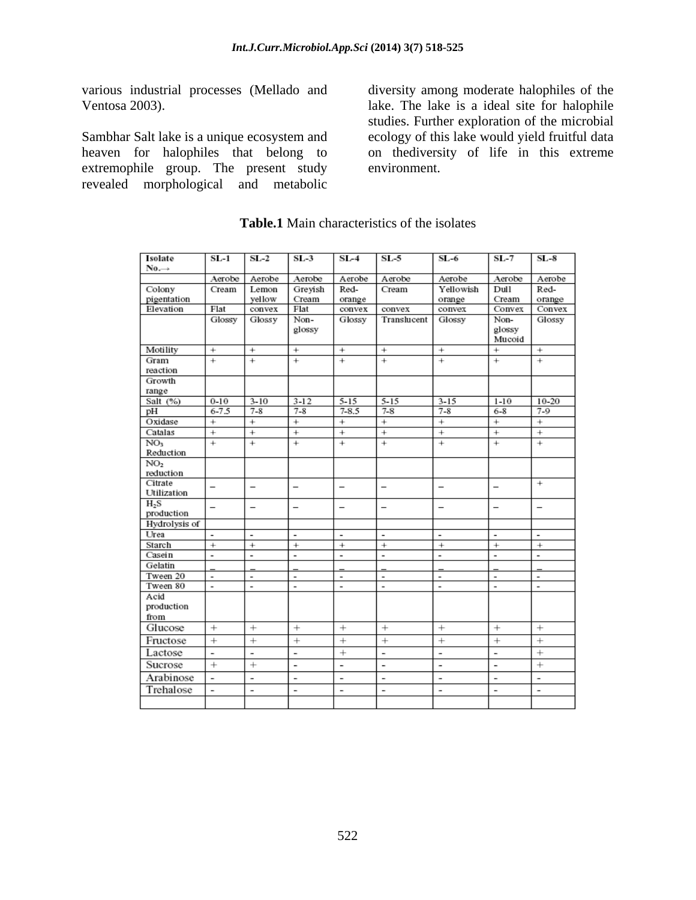various industrial processes (Mellado and

Sambhar Salt lake is a unique ecosystem and ecology of this lake would yield fruitful data heaven for halophiles that belong to extremophile group. The present study environment. revealed morphological and metabolic

Ventosa 2003). lake. The lake is a ideal site for halophile diversity among moderate halophiles of the studies. Further exploration of the microbial on thediversity of life in this extreme environment.

| Isolate                      | $SL-1$                   | $SL-2$                   | $SL-3$                   | $SL-4$                   | $SL-5$                   | $SL-6$                       | $SL-7$                   | $SL-8$                   |
|------------------------------|--------------------------|--------------------------|--------------------------|--------------------------|--------------------------|------------------------------|--------------------------|--------------------------|
| $No. \rightarrow$            |                          |                          |                          |                          |                          |                              |                          |                          |
|                              | Aerobe                   | Aerobe                   | Aerobe                   | Aerobe                   | Aerobe                   | Aerobe                       | Aerobe                   | Aerobe                   |
| Colony                       | Cream                    | Lemon                    | Greyish                  | Red-                     | Cream                    | Yellowish                    | Dull                     | Red-                     |
| pigentation                  |                          | yellow                   | Cream                    | orange                   |                          | orange                       | Cream                    | orange                   |
| Elevation                    | Flat                     | convex                   | Flat                     | convex                   | convex                   | convex                       | Convex                   | Convex                   |
|                              | Glossy                   | Glossy                   | Non-                     | Glossy                   | Translucent              | Glossy                       | Non-                     | Glossy                   |
|                              |                          |                          | glossy                   |                          |                          |                              | glossy                   |                          |
|                              |                          |                          |                          |                          |                          |                              | Mucoid                   |                          |
| Motility                     | $^{+}$                   | $^{+}$                   | $^{+}$                   | $^{+}$                   | $^{+}$                   | $^{+}$                       | $^{+}$                   | $^{+}$                   |
| Gram                         | $\overline{+}$           | $\overline{+}$           | $\overline{+}$           | $\overline{+}$           | $\overline{+}$           | $+$                          | $\overline{+}$           | $\overline{+}$           |
| reaction                     |                          |                          |                          |                          |                          |                              |                          |                          |
| Growth                       |                          |                          |                          |                          |                          |                              |                          |                          |
| range                        |                          |                          |                          |                          |                          |                              |                          |                          |
| Salt (%)                     | $0 - 10$<br>$6 - 7.5$    | $3 - 10$<br>$7 - 8$      | $3 - 12$<br>$7 - 8$      | $5 - 15$<br>$7 - 8.5$    | $5 - 15$<br>$7 - 8$      | $3 - 15$<br>$7 - 8$          | $1 - 10$<br>$6 - 8$      | $10 - 20$<br>$7 - 9$     |
| pН<br>Oxidase                | $^{+}$                   | $\overline{+}$           | $\overline{+}$           | $^{+}$                   | $^{+}$                   | $^{+}$                       | $^{-}$                   | $^{+}$                   |
|                              | $^{+}$                   |                          |                          |                          |                          |                              |                          |                          |
| Catalas                      |                          | $^{+}$                   | $^{+}$                   | $^{+}$                   | $^{+}$                   | $^{+}$                       | $^{+}$<br>$^{+}$         | $^{+}$                   |
| NO <sub>3</sub>              | $^{+}$                   | $^{+}$                   | $^{+}$                   | $^{+}$                   | $^{+}$                   | $^{+}$                       |                          | $^{+}$                   |
| Reduction<br>NO <sub>2</sub> |                          |                          |                          |                          |                          |                              |                          |                          |
| reduction                    |                          |                          |                          |                          |                          |                              |                          |                          |
| Citrate                      |                          |                          |                          |                          |                          |                              |                          | $^{+}$                   |
| Utilization                  | $\overline{\phantom{0}}$ | $\overline{\phantom{0}}$ | $\overline{\phantom{0}}$ | $\overline{\phantom{0}}$ | $\overline{\phantom{0}}$ | $\overline{\phantom{0}}$     | $\overline{\phantom{0}}$ |                          |
| $H_2S$                       |                          |                          |                          |                          |                          |                              |                          |                          |
| production                   | $\overline{\phantom{0}}$ | $\overline{\phantom{0}}$ | $\overline{\phantom{0}}$ | $\overline{\phantom{0}}$ | $\overline{\phantom{0}}$ | $\overline{\phantom{0}}$     | $\overline{\phantom{0}}$ | $\overline{\phantom{0}}$ |
| Hydrolysis of                |                          |                          |                          |                          |                          |                              |                          |                          |
| Urea                         | Ĭ.                       | ٠                        | ٠                        | ٠                        | ٠                        | $\overline{a}$               | ٠                        | $\blacksquare$           |
| Starch                       | $^{+}$                   | $^{+}$                   | $^{+}$                   | $^{+}$                   | $^{+}$                   | $^{+}$                       | $^{+}$                   | $^{+}$                   |
| Casein                       | $\overline{a}$           | $\overline{\phantom{a}}$ | Ĭ.                       | $\overline{a}$           | $\overline{a}$           | $\overline{\phantom{a}}$     | $\overline{a}$           | $\overline{\phantom{a}}$ |
| Gelatin                      |                          |                          |                          |                          |                          |                              |                          |                          |
| Tween 20                     | $\overline{a}$           | $\overline{\phantom{a}}$ | Ĭ.                       | $\overline{a}$           | $\overline{a}$           | $\blacksquare$               | $\overline{\phantom{a}}$ | $\overline{a}$           |
| Tween 80                     | $\overline{a}$           | $\overline{a}$           | $\overline{a}$           | $\overline{a}$           | $\overline{a}$           | $\overline{a}$               | $\overline{a}$           | $\overline{a}$           |
| Acid                         |                          |                          |                          |                          |                          |                              |                          |                          |
| production                   |                          |                          |                          |                          |                          |                              |                          |                          |
| from                         |                          |                          |                          |                          |                          |                              |                          |                          |
| Glucose                      | $^{+}$                   | $^{+}$                   | $^{+}$                   | $^{+}$                   | $^{+}$                   | $^{+}$                       | $^{+}$                   | $^{+}$                   |
| Fructose                     | $^{+}$                   | $^{+}$                   | $^{+}$                   | $^{+}$                   | $^{+}$                   | $^{+}$                       | $^{+}$                   | $^{+}$                   |
| Lactose                      | $\overline{a}$           | ÷                        | $\overline{\phantom{m}}$ | $^{+}$                   | $\overline{\phantom{0}}$ | $\overline{\phantom{0}}$     | $\overline{\phantom{0}}$ | $^{+}$                   |
| Sucrose                      | $^{+}$                   | $^{+}$                   | $\overline{\phantom{0}}$ | ÷,                       | $\overline{a}$           | $\qquad \qquad \blacksquare$ | $\overline{\phantom{a}}$ | $^{+}$                   |
| Arabinose                    | ÷                        | $\overline{a}$           | $\overline{a}$           | $\overline{a}$           | $\overline{a}$           | $\overline{\phantom{a}}$     | $\overline{\phantom{0}}$ | $\overline{a}$           |
| Trehalose                    | ÷                        | $\overline{a}$           | $\overline{\phantom{0}}$ | $\overline{a}$           | $\overline{a}$           | $\overline{\phantom{a}}$     | $\overline{\phantom{a}}$ | $\overline{\phantom{m}}$ |
|                              |                          |                          |                          |                          |                          |                              |                          |                          |

#### **Table.1** Main characteristics of the isolates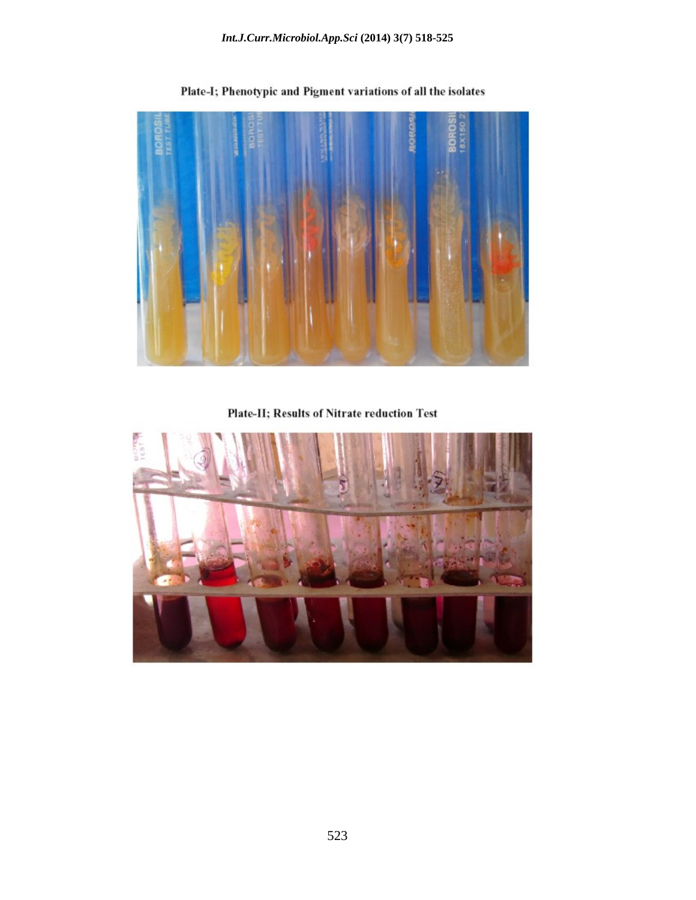

Plate-I; Phenotypic and Pigment variations of all the isolates

Plate-II; Results of Nitrate reduction Test

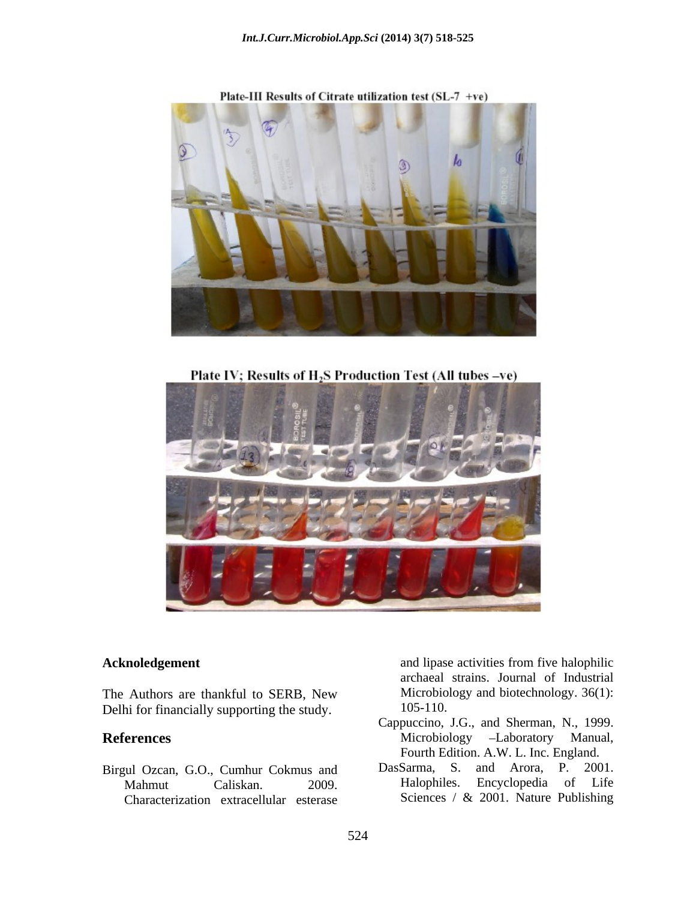

Plate-III Results of Citrate utilization test (SL-7 +ve)

Plate IV; Results of H<sub>2</sub>S Production Test (All tubes -ve)



The Authors are thankful to SERB, New Microbion<br>Delhi for financially supporting the study 105-110. Delhi for financially supporting the study.

Characterization extracellular esterase

**Acknoledgement** and lipase activities from five halophilic and lipase activities from five halophilic archaeal strains. Journal of Industrial Microbiology and biotechnology. 36(1): 105-110.

- **References** Microbiology -Laboratory Manual, Cappuccino, J.G., and Sherman, N., 1999. Microbiology –Laboratory Manual, Fourth Edition. A.W. L. Inc. England.
- Birgul Ozcan, G.O., Cumhur Cokmus and DasSarma, S. and Arora, P. 2001.<br>Mahmut Caliskan 2009 Halophiles. Encyclopedia of Life Mahmut Caliskan. 2009. Halophiles. Encyclopedia of Life DasSarma, S. and Arora, P. 2001. Sciences / & 2001. Nature Publishing